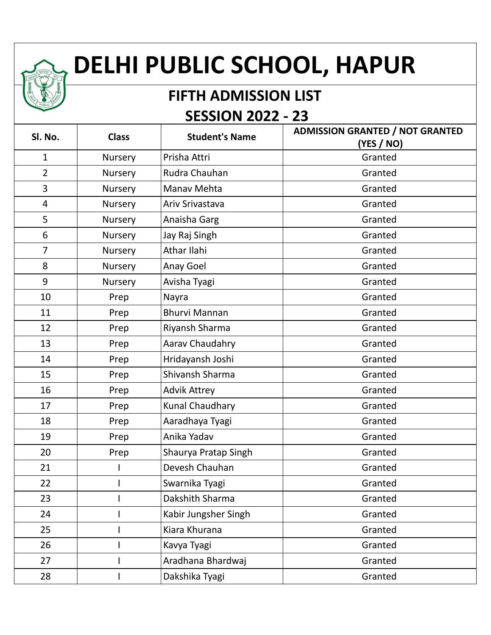## **DELHI PUBLIC SCHOOL, HAPUR**

## **FIFTH ADMISSION LIST SESSION 2022 - 23**

| Sl. No.        | <b>Class</b> | <b>Student's Name</b> | <b>ADMISSION GRANTED / NOT GRANTED</b><br>(YES / NO) |
|----------------|--------------|-----------------------|------------------------------------------------------|
| $\mathbf{1}$   | Nursery      | Prisha Attri          | Granted                                              |
| $\overline{2}$ | Nursery      | Rudra Chauhan         | Granted                                              |
| 3              | Nursery      | Manav Mehta           | Granted                                              |
| 4              | Nursery      | Ariv Srivastava       | Granted                                              |
| 5              | Nursery      | Anaisha Garg          | Granted                                              |
| 6              | Nursery      | Jay Raj Singh         | Granted                                              |
| $\overline{7}$ | Nursery      | Athar Ilahi           | Granted                                              |
| 8              | Nursery      | Anay Goel             | Granted                                              |
| 9              | Nursery      | Avisha Tyagi          | Granted                                              |
| 10             | Prep         | Nayra                 | Granted                                              |
| 11             | Prep         | <b>Bhurvi Mannan</b>  | Granted                                              |
| 12             | Prep         | Riyansh Sharma        | Granted                                              |
| 13             | Prep         | Aarav Chaudahry       | Granted                                              |
| 14             | Prep         | Hridayansh Joshi      | Granted                                              |
| 15             | Prep         | Shivansh Sharma       | Granted                                              |
| 16             | Prep         | <b>Advik Attrey</b>   | Granted                                              |
| 17             | Prep         | Kunal Chaudhary       | Granted                                              |
| 18             | Prep         | Aaradhaya Tyagi       | Granted                                              |
| 19             | Prep         | Anika Yadav           | Granted                                              |
| 20             | Prep         | Shaurya Pratap Singh  | Granted                                              |
| 21             |              | Devesh Chauhan        | Granted                                              |
| 22             |              | Swarnika Tyagi        | Granted                                              |
| 23             |              | Dakshith Sharma       | Granted                                              |
| 24             |              | Kabir Jungsher Singh  | Granted                                              |
| 25             |              | Kiara Khurana         | Granted                                              |
| 26             |              | Kavya Tyagi           | Granted                                              |
| 27             |              | Aradhana Bhardwaj     | Granted                                              |
| 28             |              | Dakshika Tyagi        | Granted                                              |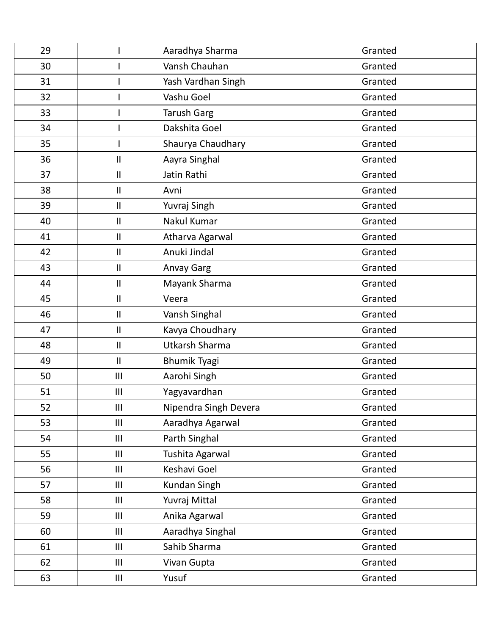| 29 |                            | Aaradhya Sharma       | Granted |
|----|----------------------------|-----------------------|---------|
| 30 |                            | Vansh Chauhan         | Granted |
| 31 |                            | Yash Vardhan Singh    | Granted |
| 32 |                            | Vashu Goel            | Granted |
| 33 |                            | <b>Tarush Garg</b>    | Granted |
| 34 |                            | Dakshita Goel         | Granted |
| 35 |                            | Shaurya Chaudhary     | Granted |
| 36 | $\ensuremath{\mathsf{II}}$ | Aayra Singhal         | Granted |
| 37 | Ш                          | Jatin Rathi           | Granted |
| 38 | $\mathbf{I}$               | Avni                  | Granted |
| 39 | $\ensuremath{\mathsf{II}}$ | Yuvraj Singh          | Granted |
| 40 | $\ensuremath{\mathsf{II}}$ | Nakul Kumar           | Granted |
| 41 | $\ensuremath{\mathsf{II}}$ | Atharva Agarwal       | Granted |
| 42 | Ш                          | Anuki Jindal          | Granted |
| 43 | $\mathbf{I}$               | <b>Anvay Garg</b>     | Granted |
| 44 | $\ensuremath{\mathsf{II}}$ | Mayank Sharma         | Granted |
| 45 | $\ensuremath{\mathsf{II}}$ | Veera                 | Granted |
| 46 | $\mathbf{I}$               | Vansh Singhal         | Granted |
| 47 | $\ensuremath{\mathsf{II}}$ | Kavya Choudhary       | Granted |
| 48 | $\mathbf{I}$               | <b>Utkarsh Sharma</b> | Granted |
| 49 | $\mathbf{II}$              | <b>Bhumik Tyagi</b>   | Granted |
| 50 | III                        | Aarohi Singh          | Granted |
| 51 | $\mathbf{III}$             | Yagyavardhan          | Granted |
| 52 | III                        | Nipendra Singh Devera | Granted |
| 53 | III                        | Aaradhya Agarwal      | Granted |
| 54 | $\mathbf{III}$             | Parth Singhal         | Granted |
| 55 | III                        | Tushita Agarwal       | Granted |
| 56 | III                        | Keshavi Goel          | Granted |
| 57 | III                        | Kundan Singh          | Granted |
| 58 | $\mathbf{III}$             | Yuvraj Mittal         | Granted |
| 59 | $\mathbf{III}$             | Anika Agarwal         | Granted |
| 60 | III                        | Aaradhya Singhal      | Granted |
| 61 | III                        | Sahib Sharma          | Granted |
| 62 | $\mathbf{III}$             | Vivan Gupta           | Granted |
| 63 | Ш                          | Yusuf                 | Granted |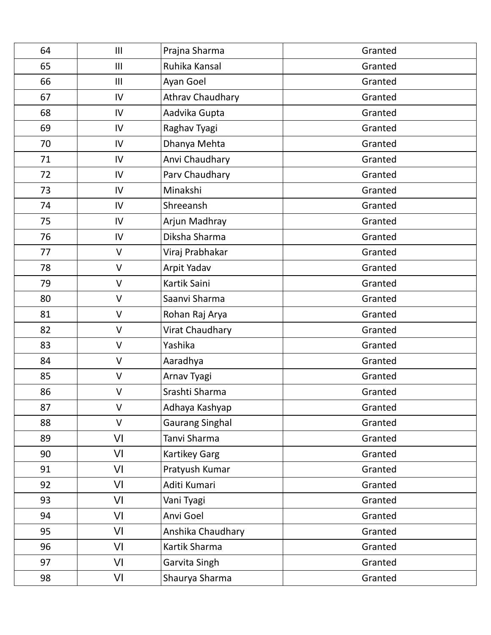| 64 | III          | Prajna Sharma          | Granted |
|----|--------------|------------------------|---------|
| 65 | III          | Ruhika Kansal          | Granted |
| 66 | III          | Ayan Goel              | Granted |
| 67 | IV           | Athrav Chaudhary       | Granted |
| 68 | IV           | Aadvika Gupta          | Granted |
| 69 | IV           | Raghav Tyagi           | Granted |
| 70 | IV           | Dhanya Mehta           | Granted |
| 71 | IV           | Anvi Chaudhary         | Granted |
| 72 | IV           | Parv Chaudhary         | Granted |
| 73 | IV           | Minakshi               | Granted |
| 74 | IV           | Shreeansh              | Granted |
| 75 | IV           | Arjun Madhray          | Granted |
| 76 | IV           | Diksha Sharma          | Granted |
| 77 | V            | Viraj Prabhakar        | Granted |
| 78 | $\vee$       | Arpit Yadav            | Granted |
| 79 | $\vee$       | Kartik Saini           | Granted |
| 80 | $\vee$       | Saanvi Sharma          | Granted |
| 81 | $\vee$       | Rohan Raj Arya         | Granted |
| 82 | $\vee$       | Virat Chaudhary        | Granted |
| 83 | $\mathsf{V}$ | Yashika                | Granted |
| 84 | $\vee$       | Aaradhya               | Granted |
| 85 | $\vee$       | Arnav Tyagi            | Granted |
| 86 | V            | Srashti Sharma         | Granted |
| 87 | $\vee$       | Adhaya Kashyap         | Granted |
| 88 | $\vee$       | <b>Gaurang Singhal</b> | Granted |
| 89 | VI           | Tanvi Sharma           | Granted |
| 90 | VI           | Kartikey Garg          | Granted |
| 91 | VI           | Pratyush Kumar         | Granted |
| 92 | VI           | Aditi Kumari           | Granted |
| 93 | VI           | Vani Tyagi             | Granted |
| 94 | VI           | Anvi Goel              | Granted |
| 95 | VI           | Anshika Chaudhary      | Granted |
| 96 | VI           | Kartik Sharma          | Granted |
| 97 | VI           | Garvita Singh          | Granted |
| 98 | VI           | Shaurya Sharma         | Granted |